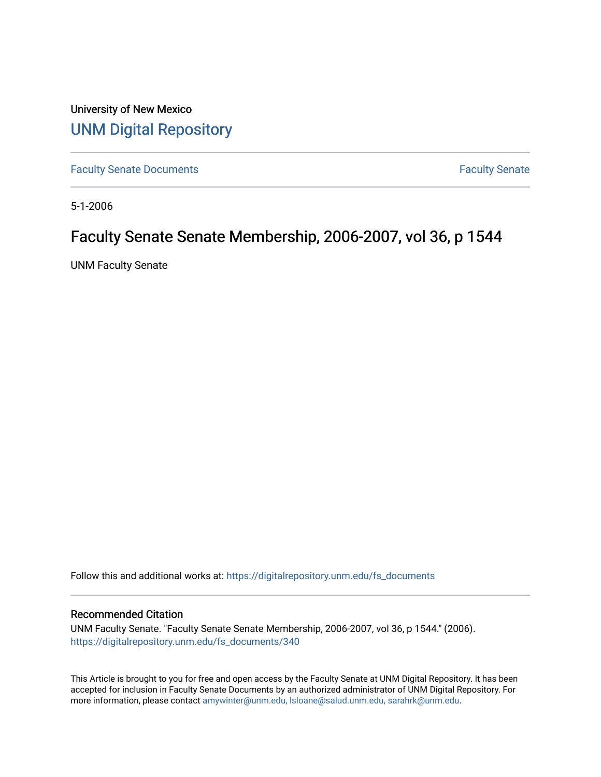University of New Mexico [UNM Digital Repository](https://digitalrepository.unm.edu/) 

[Faculty Senate Documents](https://digitalrepository.unm.edu/fs_documents) **Faculty** Senate **Faculty** Senate

5-1-2006

## Faculty Senate Senate Membership, 2006-2007, vol 36, p 1544

UNM Faculty Senate

Follow this and additional works at: [https://digitalrepository.unm.edu/fs\\_documents](https://digitalrepository.unm.edu/fs_documents?utm_source=digitalrepository.unm.edu%2Ffs_documents%2F340&utm_medium=PDF&utm_campaign=PDFCoverPages)

#### Recommended Citation

UNM Faculty Senate. "Faculty Senate Senate Membership, 2006-2007, vol 36, p 1544." (2006). [https://digitalrepository.unm.edu/fs\\_documents/340](https://digitalrepository.unm.edu/fs_documents/340?utm_source=digitalrepository.unm.edu%2Ffs_documents%2F340&utm_medium=PDF&utm_campaign=PDFCoverPages)

This Article is brought to you for free and open access by the Faculty Senate at UNM Digital Repository. It has been accepted for inclusion in Faculty Senate Documents by an authorized administrator of UNM Digital Repository. For more information, please contact [amywinter@unm.edu, lsloane@salud.unm.edu, sarahrk@unm.edu](mailto:amywinter@unm.edu,%20lsloane@salud.unm.edu,%20sarahrk@unm.edu).